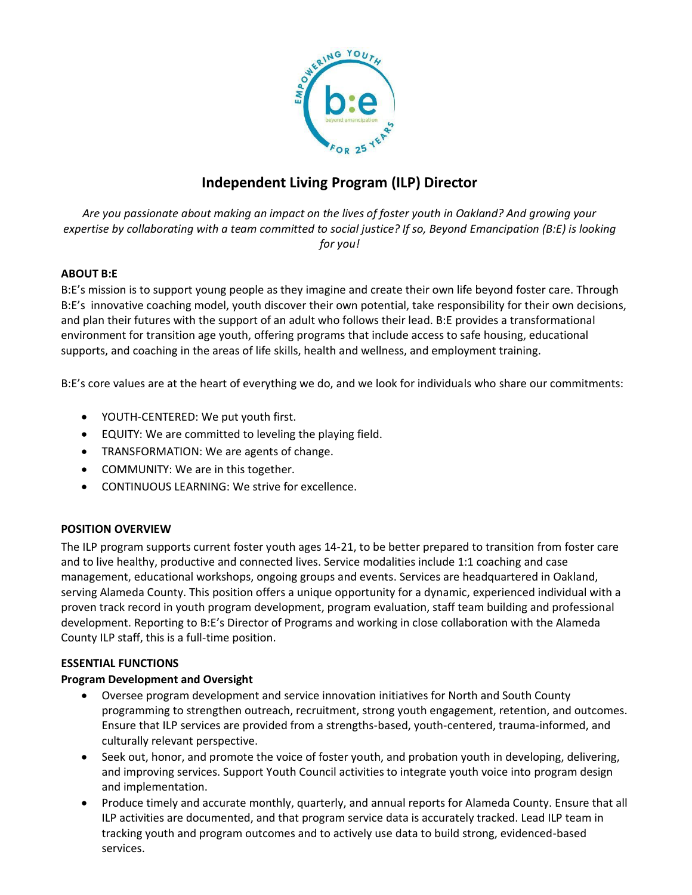

# **Independent Living Program (ILP) Director**

*Are you passionate about making an impact on the lives of foster youth in Oakland? And growing your expertise by collaborating with a team committed to social justice? If so, Beyond Emancipation (B:E) is looking for you!*

# **ABOUT B:E**

B:E's mission is to support young people as they imagine and create their own life beyond foster care. Through B:E's innovative coaching model, youth discover their own potential, take responsibility for their own decisions, and plan their futures with the support of an adult who follows their lead. B:E provides a transformational environment for transition age youth, offering programs that include access to safe housing, educational supports, and coaching in the areas of life skills, health and wellness, and employment training.

B:E's core values are at the heart of everything we do, and we look for individuals who share our commitments:

- YOUTH-CENTERED: We put youth first.
- EQUITY: We are committed to leveling the playing field.
- TRANSFORMATION: We are agents of change.
- COMMUNITY: We are in this together.
- CONTINUOUS LEARNING: We strive for excellence.

# **POSITION OVERVIEW**

The ILP program supports current foster youth ages 14-21, to be better prepared to transition from foster care and to live healthy, productive and connected lives. Service modalities include 1:1 coaching and case management, educational workshops, ongoing groups and events. Services are headquartered in Oakland, serving Alameda County. This position offers a unique opportunity for a dynamic, experienced individual with a proven track record in youth program development, program evaluation, staff team building and professional development. Reporting to B:E's Director of Programs and working in close collaboration with the Alameda County ILP staff, this is a full-time position.

## **ESSENTIAL FUNCTIONS**

# **Program Development and Oversight**

- Oversee program development and service innovation initiatives for North and South County programming to strengthen outreach, recruitment, strong youth engagement, retention, and outcomes. Ensure that ILP services are provided from a strengths-based, youth-centered, trauma-informed, and culturally relevant perspective.
- Seek out, honor, and promote the voice of foster youth, and probation youth in developing, delivering, and improving services. Support Youth Council activities to integrate youth voice into program design and implementation.
- Produce timely and accurate monthly, quarterly, and annual reports for Alameda County. Ensure that all ILP activities are documented, and that program service data is accurately tracked. Lead ILP team in tracking youth and program outcomes and to actively use data to build strong, evidenced-based services.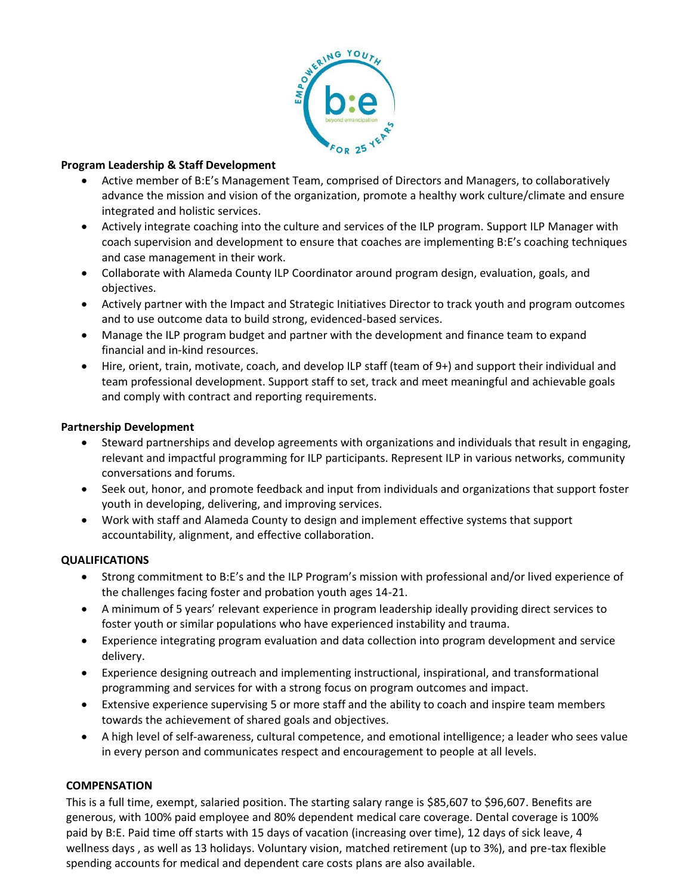

## **Program Leadership & Staff Development**

- Active member of B:E's Management Team, comprised of Directors and Managers, to collaboratively advance the mission and vision of the organization, promote a healthy work culture/climate and ensure integrated and holistic services.
- Actively integrate coaching into the culture and services of the ILP program. Support ILP Manager with coach supervision and development to ensure that coaches are implementing B:E's coaching techniques and case management in their work.
- Collaborate with Alameda County ILP Coordinator around program design, evaluation, goals, and objectives.
- Actively partner with the Impact and Strategic Initiatives Director to track youth and program outcomes and to use outcome data to build strong, evidenced-based services.
- Manage the ILP program budget and partner with the development and finance team to expand financial and in-kind resources.
- Hire, orient, train, motivate, coach, and develop ILP staff (team of 9+) and support their individual and team professional development. Support staff to set, track and meet meaningful and achievable goals and comply with contract and reporting requirements.

## **Partnership Development**

- Steward partnerships and develop agreements with organizations and individuals that result in engaging, relevant and impactful programming for ILP participants. Represent ILP in various networks, community conversations and forums.
- Seek out, honor, and promote feedback and input from individuals and organizations that support foster youth in developing, delivering, and improving services.
- Work with staff and Alameda County to design and implement effective systems that support accountability, alignment, and effective collaboration.

## **QUALIFICATIONS**

- Strong commitment to B:E's and the ILP Program's mission with professional and/or lived experience of the challenges facing foster and probation youth ages 14-21.
- A minimum of 5 years' relevant experience in program leadership ideally providing direct services to foster youth or similar populations who have experienced instability and trauma.
- Experience integrating program evaluation and data collection into program development and service delivery.
- Experience designing outreach and implementing instructional, inspirational, and transformational programming and services for with a strong focus on program outcomes and impact.
- Extensive experience supervising 5 or more staff and the ability to coach and inspire team members towards the achievement of shared goals and objectives.
- A high level of self-awareness, cultural competence, and emotional intelligence; a leader who sees value in every person and communicates respect and encouragement to people at all levels.

## **COMPENSATION**

This is a full time, exempt, salaried position. The starting salary range is \$85,607 to \$96,607. Benefits are generous, with 100% paid employee and 80% dependent medical care coverage. Dental coverage is 100% paid by B:E. Paid time off starts with 15 days of vacation (increasing over time), 12 days of sick leave, 4 wellness days , as well as 13 holidays. Voluntary vision, matched retirement (up to 3%), and pre-tax flexible spending accounts for medical and dependent care costs plans are also available.